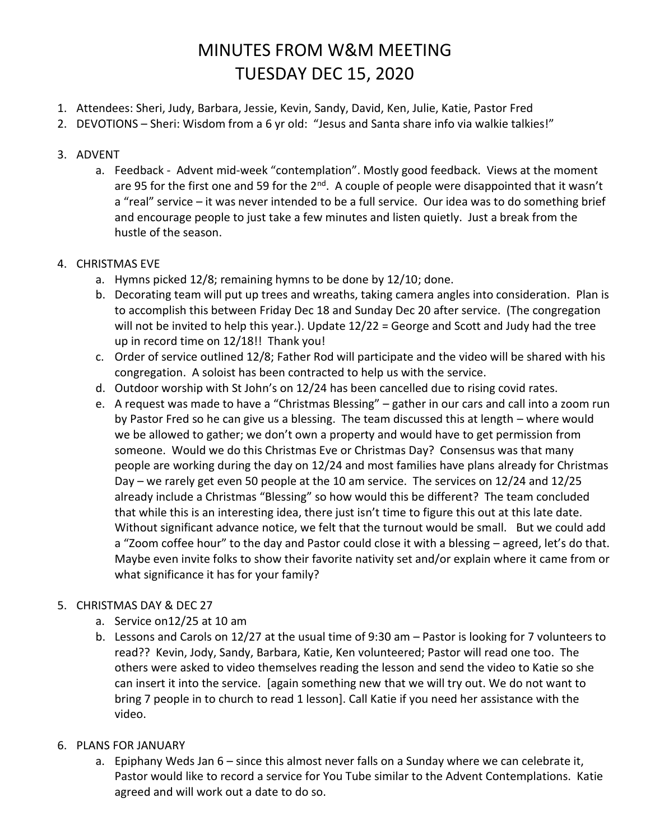# MINUTES FROM W&M MEETING TUESDAY DEC 15, 2020

- 1. Attendees: Sheri, Judy, Barbara, Jessie, Kevin, Sandy, David, Ken, Julie, Katie, Pastor Fred
- 2. DEVOTIONS Sheri: Wisdom from a 6 yr old: "Jesus and Santa share info via walkie talkies!"

#### 3. ADVENT

a. Feedback - Advent mid-week "contemplation". Mostly good feedback. Views at the moment are 95 for the first one and 59 for the  $2^{nd}$ . A couple of people were disappointed that it wasn't a "real" service – it was never intended to be a full service. Our idea was to do something brief and encourage people to just take a few minutes and listen quietly. Just a break from the hustle of the season.

#### 4. CHRISTMAS EVE

- a. Hymns picked 12/8; remaining hymns to be done by 12/10; done.
- b. Decorating team will put up trees and wreaths, taking camera angles into consideration. Plan is to accomplish this between Friday Dec 18 and Sunday Dec 20 after service. (The congregation will not be invited to help this year.). Update 12/22 = George and Scott and Judy had the tree up in record time on 12/18!! Thank you!
- c. Order of service outlined 12/8; Father Rod will participate and the video will be shared with his congregation. A soloist has been contracted to help us with the service.
- d. Outdoor worship with St John's on 12/24 has been cancelled due to rising covid rates.
- e. A request was made to have a "Christmas Blessing" gather in our cars and call into a zoom run by Pastor Fred so he can give us a blessing. The team discussed this at length – where would we be allowed to gather; we don't own a property and would have to get permission from someone. Would we do this Christmas Eve or Christmas Day? Consensus was that many people are working during the day on 12/24 and most families have plans already for Christmas Day – we rarely get even 50 people at the 10 am service. The services on 12/24 and 12/25 already include a Christmas "Blessing" so how would this be different? The team concluded that while this is an interesting idea, there just isn't time to figure this out at this late date. Without significant advance notice, we felt that the turnout would be small. But we could add a "Zoom coffee hour" to the day and Pastor could close it with a blessing – agreed, let's do that. Maybe even invite folks to show their favorite nativity set and/or explain where it came from or what significance it has for your family?

#### 5. CHRISTMAS DAY & DEC 27

- a. Service on12/25 at 10 am
- b. Lessons and Carols on 12/27 at the usual time of 9:30 am Pastor is looking for 7 volunteers to read?? Kevin, Jody, Sandy, Barbara, Katie, Ken volunteered; Pastor will read one too. The others were asked to video themselves reading the lesson and send the video to Katie so she can insert it into the service. [again something new that we will try out. We do not want to bring 7 people in to church to read 1 lesson]. Call Katie if you need her assistance with the video.

#### 6. PLANS FOR JANUARY

a. Epiphany Weds Jan 6 – since this almost never falls on a Sunday where we can celebrate it, Pastor would like to record a service for You Tube similar to the Advent Contemplations. Katie agreed and will work out a date to do so.